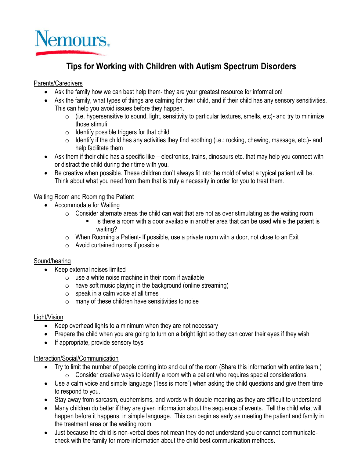

# **Tips for Working with Children with Autism Spectrum Disorders**

## Parents/Caregivers

- Ask the family how we can best help them- they are your greatest resource for information!
- Ask the family, what types of things are calming for their child, and if their child has any sensory sensitivities. This can help you avoid issues before they happen.
	- $\circ$  (i.e. hypersensitive to sound, light, sensitivity to particular textures, smells, etc)- and try to minimize those stimuli
	- $\circ$  Identify possible triggers for that child
	- $\circ$  Identify if the child has any activities they find soothing (i.e.: rocking, chewing, massage, etc.)- and help facilitate them
- Ask them if their child has a specific like electronics, trains, dinosaurs etc. that may help you connect with or distract the child during their time with you.
- Be creative when possible. These children don't always fit into the mold of what a typical patient will be. Think about what you need from them that is truly a necessity in order for you to treat them.

## Waiting Room and Rooming the Patient

- Accommodate for Waiting
	- o Consider alternate areas the child can wait that are not as over stimulating as the waiting room
		- Is there a room with a door available in another area that can be used while the patient is waiting?
	- $\circ$  When Rooming a Patient- If possible, use a private room with a door, not close to an Exit
	- o Avoid curtained rooms if possible

### Sound/hearing

- Keep external noises limited
	- $\circ$  use a white noise machine in their room if available
	- $\circ$  have soft music playing in the background (online streaming)
	- $\circ$  speak in a calm voice at all times
	- $\circ$  many of these children have sensitivities to noise

### Light/Vision

- Keep overhead lights to a minimum when they are not necessary
- Prepare the child when you are going to turn on a bright light so they can cover their eyes if they wish
- If appropriate, provide sensory toys

### Interaction/Social/Communication

- Try to limit the number of people coming into and out of the room (Share this information with entire team.) o Consider creative ways to identify a room with a patient who requires special considerations.
- Use a calm voice and simple language ("less is more") when asking the child questions and give them time to respond to you.
- Stay away from sarcasm, euphemisms, and words with double meaning as they are difficult to understand
- Many children do better if they are given information about the sequence of events. Tell the child what will happen before it happens, in simple language. This can begin as early as meeting the patient and family in the treatment area or the waiting room.
- Just because the child is non-verbal does not mean they do not understand you or cannot communicatecheck with the family for more information about the child best communication methods.